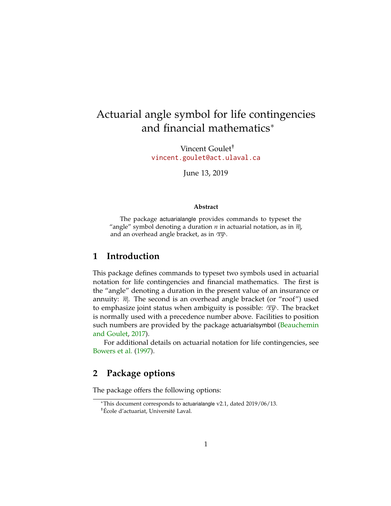# Actuarial angle symbol for life contingencies and financial mathematics<sup>∗</sup>

Vincent Goulet† <vincent.goulet@act.ulaval.ca>

June 13, 2019

#### **Abstract**

The package actuarialangle provides commands to typeset the "angle" symbol denoting a duration  $n$  in actuarial notation, as in  $\overline{n}$ , and an overhead angle bracket, as in *xy* .

### **1 Introduction**

This package defines commands to typeset two symbols used in actuarial notation for life contingencies and financial mathematics. The first is the "angle" denoting a duration in the present value of an insurance or annuity:  $\overline{n}$ . The second is an overhead angle bracket (or "roof") used to emphasize joint status when ambiguity is possible:  $\overline{xy}$ . The bracket is normally used with a precedence number above. Facilities to position such numbers are provided by the package actuarialsymbol [\(Beauchemin](#page-9-0) [and Goulet,](#page-9-0) [2017\)](#page-9-0).

For additional details on actuarial notation for life contingencies, see [Bowers et al.](#page-9-1) [\(1997\)](#page-9-1).

### **2 Package options**

The package offers the following options:

<sup>∗</sup>This document corresponds to actuarialangle v2.1, dated 2019/06/13. †École d'actuariat, Université Laval.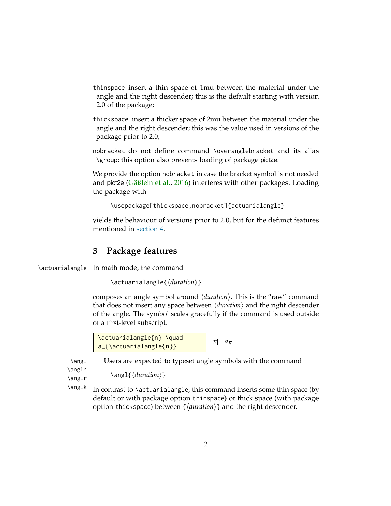thinspace insert a thin space of 1mu between the material under the angle and the right descender; this is the default starting with version 2.0 of the package;

thickspace insert a thicker space of 2mu between the material under the angle and the right descender; this was the value used in versions of the package prior to 2.0;

nobracket do not define command \overanglebracket and its alias \group; this option also prevents loading of package pict2e.

We provide the option nobracket in case the bracket symbol is not needed and pict2e [\(Gäßlein et al.,](#page-9-2) [2016\)](#page-9-2) interferes with other packages. Loading the package with

\usepackage[thickspace,nobracket]{actuarialangle}

yields the behaviour of versions prior to 2.0, but for the defunct features mentioned in [section 4.](#page-2-0)

# **3 Package features**

\actuarialangle In math mode, the command

```
\actuarialangle{\duration}}
```
composes an angle symbol around  $\langle duration \rangle$ . This is the "raw" command that does not insert any space between  $\langle duration \rangle$  and the right descender of the angle. The symbol scales gracefully if the command is used outside of a first-level subscript.

\actuarialangle{n} \quad a\_{\actuarialangle{n}}  $\overline{n}$   $a_{\overline{n}}$ 

\angl Users are expected to typeset angle symbols with the command

\angln

```
\angl{\langle duration \rangle}
```
\anglr

\anglk In contrast to \actuarialangle, this command inserts some thin space (by default or with package option thinspace) or thick space (with package option thickspace) between  $\{\langle duration \rangle\}$  and the right descender.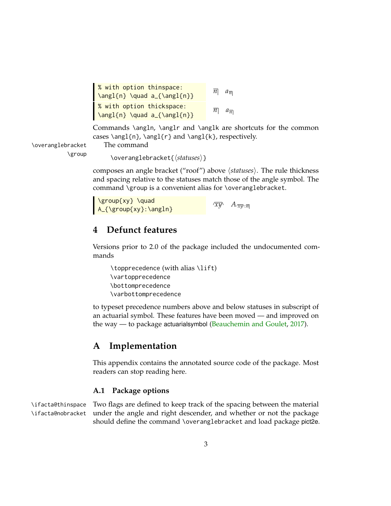```
% with option thinspace:
\angl{n} \quad a_{\angl{n}}\overline{n} a_{\overline{n}}% with option thickspace:
\angl{n} \quad a_{\angl{n}}\overline{n} a_{\overline{n}}
```
Commands \angln, \anglr and \anglk are shortcuts for the common cases \angl{n}, \angl{r} and \angl{k}, respectively.

\overanglebracket The command

\group \overanglebracket{\statuses\}

composes an angle bracket ("roof") above  $\langle \mathit{statuses} \rangle$ . The rule thickness and spacing relative to the statuses match those of the angle symbol. The command \group is a convenient alias for \overanglebracket.

| \group{xy} \quad       |                             |
|------------------------|-----------------------------|
| $A_{\frac{\gamma}{2}}$ | $\sqrt{xy}$ $A_{\sqrt{xy}}$ |

# <span id="page-2-0"></span>**4 Defunct features**

Versions prior to 2.0 of the package included the undocumented commands

\topprecedence (with alias \lift) \vartopprecedence \bottomprecedence \varbottomprecedence

to typeset precedence numbers above and below statuses in subscript of an actuarial symbol. These features have been moved — and improved on the way — to package actuarialsymbol [\(Beauchemin and Goulet,](#page-9-0) [2017\)](#page-9-0).

## **A Implementation**

This appendix contains the annotated source code of the package. Most readers can stop reading here.

### **A.1 Package options**

\ifacta@thinspace \ifacta@nobracket

Two flags are defined to keep track of the spacing between the material under the angle and right descender, and whether or not the package should define the command \overanglebracket and load package pict2e.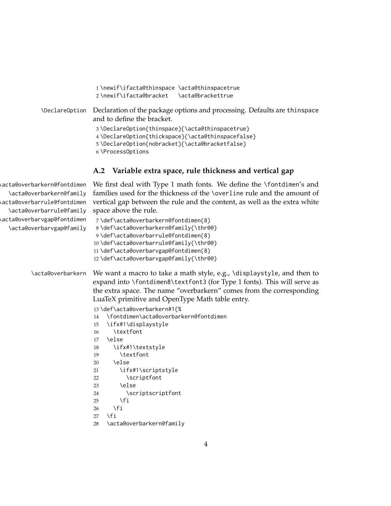| 1\newif\ifacta@thinspace \acta@thinspacetrue<br>2\newif\ifacta@bracket<br><b>\acta@brackettrue</b>                                                                           |
|------------------------------------------------------------------------------------------------------------------------------------------------------------------------------|
| \DeclareOption Declaration of the package options and processing. Defaults are thinspace<br>and to define the bracket.                                                       |
| 3\DeclareOption{thinspace}{\acta@thinspacetrue}<br>4 \DeclareOption{thickspace}{\acta@thinspacefalse}<br>5\DeclareOption{nobracket}{\acta@bracketfalse}<br>6 \ProcessOptions |

#### **A.2 Variable extra space, rule thickness and vertical gap**

\acta@overbarkern@fontdimen \acta@overbarkern@family \acta@overbarrule@fontdimen \acta@overbarrule@family \acta@overbarvgap@fontdimen \acta@overbarvgap@family We first deal with Type 1 math fonts. We define the \fontdimen's and families used for the thickness of the \overline rule and the amount of vertical gap between the rule and the content, as well as the extra white space above the rule. 7 \def\acta@overbarkern@fontdimen{8} 8 \def\acta@overbarkern@family{\thr@@} 9 \def\acta@overbarrule@fontdimen{8} 10 \def\acta@overbarrule@family{\thr@@} 11 \def\acta@overbarvgap@fontdimen{8} 12 \def\acta@overbarvgap@family{\thr@@} \acta@overbarkern We want a macro to take a math style, e.g., \displaystyle, and then to expand into \fontdimen8\textfont3 (for Type 1 fonts). This will serve as the extra space. The name "overbarkern" comes from the corresponding LuaTeX primitive and OpenType Math table entry. 13 \def\acta@overbarkern#1{% 14 \fontdimen\acta@overbarkern@fontdimen 15 \ifx#1\displaystyle 16 \textfont 17 \else 18 \ifx#1\textstyle 19 \textfont 20 \else 21 \ifx#1\scriptstyle 22 \scriptfont 23 \else 24 \scriptscriptfont  $25 \quad \text{If}$  $26$  \fi  $27 \quad \text{If}$ 28 \acta@overbarkern@family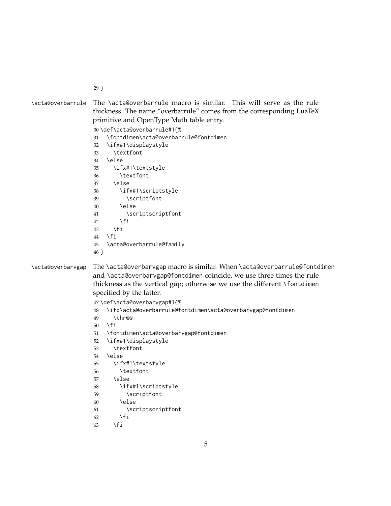```
29 }
```
\acta@overbarrule The \acta@overbarrule macro is similar. This will serve as the rule thickness. The name "overbarrule" comes from the corresponding LuaTeX primitive and OpenType Math table entry.

\def\acta@overbarrule#1{%

\fontdimen\acta@overbarrule@fontdimen

 \ifx#1\displaystyle \textfont \else \ifx#1\textstyle \textfont \else \ifx#1\scriptstyle \scriptfont \else \scriptscriptfont  $42 \qquad \qquad \text{If }$  \fi \fi \acta@overbarrule@family }

### \acta@overbarvgap The \acta@overbarvgap macro is similar. When \acta@overbarrule@fontdimen and \acta@overbarvgap@fontdimen coincide, we use three times the rule

thickness as the vertical gap; otherwise we use the different \fontdimen specified by the latter.

```
47 \def\acta@overbarvgap#1{%
48 \ifx\acta@overbarrule@fontdimen\acta@overbarvgap@fontdimen
49 \thr@@
50 \forallfi
51 \fontdimen\acta@overbarvgap@fontdimen
52 \ifx#1\displaystyle
53 \textfont
54 \else
55 \ifx#1\textstyle
56 \textfont
57 \else
58 \ifx#1\scriptstyle
59 \scriptfont
60 \else
61 \scriptscriptfont
```

```
62 \fi
```
63  $\setminus$ fi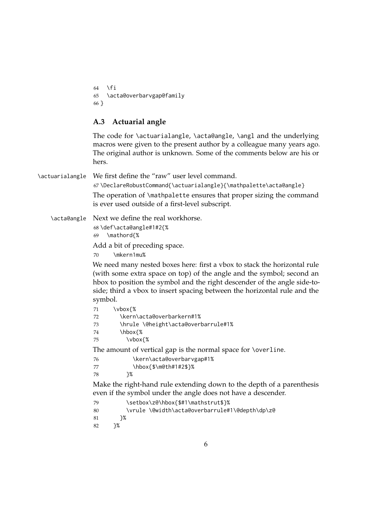$64$  \fi 65 \acta@overbarvgap@family 66 }

#### **A.3 Actuarial angle**

The code for \actuarialangle, \acta@angle, \angl and the underlying macros were given to the present author by a colleague many years ago. The original author is unknown. Some of the comments below are his or hers.

\actuarialangle We first define the "raw" user level command.

67 \DeclareRobustCommand{\actuarialangle}{\mathpalette\acta@angle} The operation of \mathpalette ensures that proper sizing the command is ever used outside of a first-level subscript.

\acta@angle Next we define the real workhorse.

68 \def\acta@angle#1#2{% 69 \mathord{%

Add a bit of preceding space.

70 \mkern1mu%

We need many nested boxes here: first a vbox to stack the horizontal rule (with some extra space on top) of the angle and the symbol; second an hbox to position the symbol and the right descender of the angle side-toside; third a vbox to insert spacing between the horizontal rule and the symbol.

| 71 | \vbox{%                                                       |  |
|----|---------------------------------------------------------------|--|
| 72 | \kern\acta@overbarkern#1%                                     |  |
| 73 | \hrule \@height\acta@overbarrule#1%                           |  |
| 74 | \hbox{%                                                       |  |
| 75 | \vbox{%                                                       |  |
|    | The amount of vertical gap is the normal space for \overline. |  |
| 76 | \kern\acta@overbarvgap#1%                                     |  |
| 77 | \hbox{\$\m@th#1#2\$}%                                         |  |
| 78 | ን%                                                            |  |

Make the right-hand rule extending down to the depth of a parenthesis even if the symbol under the angle does not have a descender.

```
79 \setbox\z@\hbox{$#1\mathstrut$}%
```

```
80 \vrule \@width\acta@overbarrule#1\@depth\dp\z@
```

```
81 }%
```

```
82 }%
```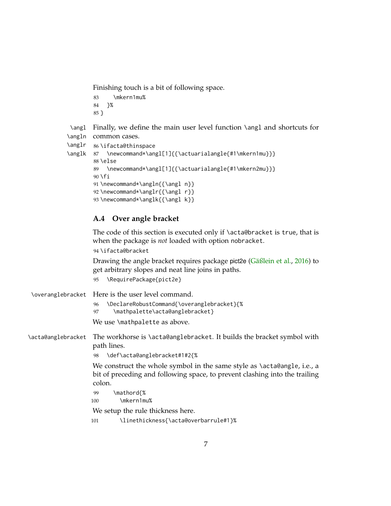Finishing touch is a bit of following space.

83 \mkern1mu% 84 }% 85 }

\angl Finally, we define the main user level function \angl and shortcuts for \angln common cases.

```
\anglr
       86 \ifacta@thinspace
```

```
\anglk 87 \newcommand*\angl[1]{{\actuarialangle{#1\mkern1mu}}}
        88 \else
        89 \newcommand*\angl[1]{{\actuarialangle{#1\mkern2mu}}}
        90 \setminus fi91\newcommand*\angln{{\angl n}}
        92 \newcommand*\anglr{{\angl r}}
        93 \newcommand*\anglk{{\angl k}}
```
### **A.4 Over angle bracket**

The code of this section is executed only if \acta@bracket is true, that is when the package is *not* loaded with option nobracket.

94 \ifacta@bracket

Drawing the angle bracket requires package pict2e [\(Gäßlein et al.,](#page-9-2) [2016\)](#page-9-2) to get arbitrary slopes and neat line joins in paths.

```
95 \RequirePackage{pict2e}
```

|                    | \overanglebracket Here is the user level command.                                                                                                                |
|--------------------|------------------------------------------------------------------------------------------------------------------------------------------------------------------|
|                    | \DeclareRobustCommand{\overanglebracket}{%<br>96<br>\mathpalette\acta@anglebracket}<br>97                                                                        |
|                    | We use \mathpalette as above.                                                                                                                                    |
| \acta@anglebracket | The workhorse is \acta@anglebracket. It builds the bracket symbol with<br>path lines.                                                                            |
|                    | \def\acta@anglebracket#1#2{%<br>98                                                                                                                               |
|                    | We construct the whole symbol in the same style as \acta@angle, i.e., a<br>bit of preceding and following space, to prevent clashing into the trailing<br>colon. |
|                    | \mathord{%<br>99<br>\mkern1mu%<br>100                                                                                                                            |
|                    | We setup the rule thickness here.                                                                                                                                |
|                    | \linethickness{\acta@overbarrule#1}%<br>101                                                                                                                      |
|                    |                                                                                                                                                                  |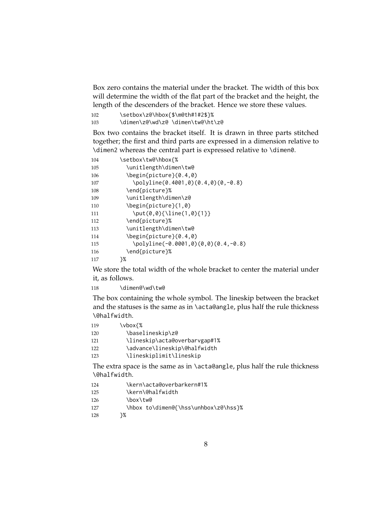Box zero contains the material under the bracket. The width of this box will determine the width of the flat part of the bracket and the height, the length of the descenders of the bracket. Hence we store these values.

102 \setbox\z@\hbox{\$\m@th#1#2\$}% \dimen\z@\wd\z@ \dimen\tw@\ht\z@

Box two contains the bracket itself. It is drawn in three parts stitched together; the first and third parts are expressed in a dimension relative to \dimen2 whereas the central part is expressed relative to \dimen0.

| 104 | \setbox\tw@\hbox{%                    |
|-----|---------------------------------------|
| 105 | \unitlength\dimen\tw@                 |
| 106 | $\begin{bmatrix} 0.4.0 \end{bmatrix}$ |
| 107 | \polyline(0.4001,0)(0.4,0)(0,-0.8)    |
| 108 | \end{picture}%                        |
| 109 | \unitlength\dimen\z@                  |
| 110 | \begin{picture}(1,0)                  |
| 111 | $\put(0,0){\line1}ne(1,0){1}$         |
| 112 | \end{picture}%                        |
| 113 | \unitlength\dimen\tw@                 |
| 114 | \begin{picture}(0.4.0)                |
| 115 | \polyline(-0.0001,0)(0,0)(0.4,-0.8)   |
| 116 | \end{picture}%                        |
| 117 | }%                                    |

We store the total width of the whole bracket to center the material under it, as follows.

\dimen@\wd\tw@

The box containing the whole symbol. The lineskip between the bracket and the statuses is the same as in \acta@angle, plus half the rule thickness \@halfwidth.

| 119 | \vbox{%                       |
|-----|-------------------------------|
| 120 | \baselineskip\z@              |
| 121 | \lineskip\acta@overbarvgap#1% |
| 122 | \advance\lineskip\@halfwidth  |
| 123 | \lineskiplimit\lineskip       |

The extra space is the same as in \acta@angle, plus half the rule thickness \@halfwidth.

- \kern\acta@overbarkern#1%
- \kern\@halfwidth
- 126 \box\tw@
- 127 \hbox to\dimen@{\hss\unhbox\z@\hss}%
- }%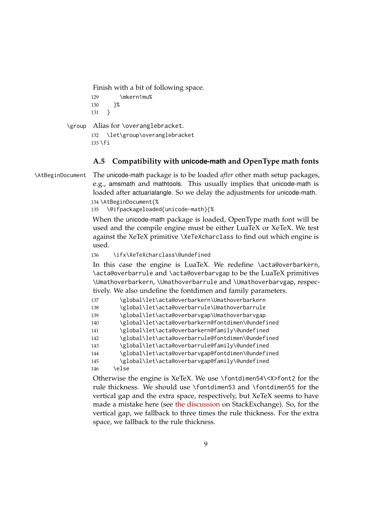Finish with a bit of following space.

```
129 \mkern1mu%
130 }%
131 }
```
\group Alias for \overanglebracket. 132 \let\group\overanglebracket

```
133 \fi
```
### **A.5 Compatibility with unicode-math and OpenType math fonts**

\AtBeginDocument The unicode-math package is to be loaded *after* other math setup packages, e.g., amsmath and mathtools. This usually implies that unicode-math is loaded after actuarialangle. So we delay the adjustments for unicode-math. 134 \AtBeginDocument{%

135 \@ifpackageloaded{unicode-math}{%

When the unicode-math package is loaded, OpenType math font will be used and the compile engine must be either LuaTeX or XeTeX. We test against the XeTeX primitive \XeTeXcharclass to find out which engine is used.

136 \ifx\XeTeXcharclass\@undefined

In this case the engine is LuaTeX. We redefine \acta@overbarkern, \acta@overbarrule and \acta@overbarvgap to be the LuaTeX primitives \Umathoverbarkern, \Umathoverbarrule and \Umathoverbarvgap, respectively. We also undefine the fontdimen and family parameters.

```
137 \global\let\acta@overbarkern\Umathoverbarkern
138 \global\let\acta@overbarrule\Umathoverbarrule
139 \global\let\acta@overbarvgap\Umathoverbarvgap
140 \global\let\acta@overbarkern@fontdimen\@undefined
141 \global\let\acta@overbarkern@family\@undefined
142 \global\let\acta@overbarrule@fontdimen\@undefined
143 \global\let\acta@overbarrule@family\@undefined
144 \global\let\acta@overbarvgap@fontdimen\@undefined
145 \global\let\acta@overbarvgap@family\@undefined
146 \else
```
Otherwise the engine is XeTeX. We use \fontdimen54\<X>font2 for the rule thickness. We should use \fontdimen53 and \fontdimen55 for the vertical gap and the extra space, respectively, but XeTeX seems to have made a mistake here (see [the discussion](% https://tex.stackexchange.com/q/468496) on StackExchange). So, for the vertical gap, we fallback to three times the rule thickness. For the extra space, we fallback to the rule thickness.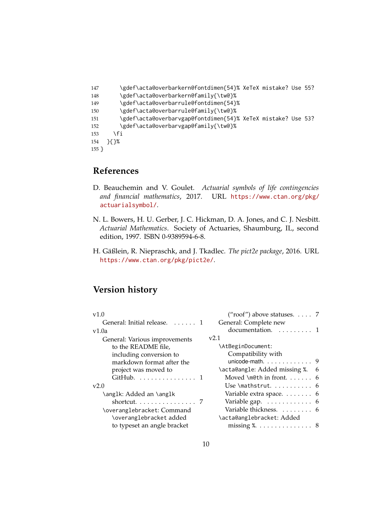```
147 \gdef\acta@overbarkern@fontdimen{54}% XeTeX mistake? Use 55?
148 \gdef\acta@overbarkern@family{\tw@}%
149 \gdef\acta@overbarrule@fontdimen{54}%
150 \gdef\acta@overbarrule@family{\tw@}%
151 \gdef\acta@overbarvgap@fontdimen{54}% XeTeX mistake? Use 53?
152 \gdef\acta@overbarvgap@family{\tw@}%
153 \fi
154 }{}%
155 }
```
### **References**

- <span id="page-9-0"></span>D. Beauchemin and V. Goulet. *Actuarial symbols of life contingencies and financial mathematics*, 2017. URL [https://www.ctan.org/pkg/](https://www.ctan.org/pkg/actuarialsymbol/) [actuarialsymbol/](https://www.ctan.org/pkg/actuarialsymbol/).
- <span id="page-9-1"></span>N. L. Bowers, H. U. Gerber, J. C. Hickman, D. A. Jones, and C. J. Nesbitt. *Actuarial Mathematics*. Society of Actuaries, Shaumburg, IL, second edition, 1997. ISBN 0-9389594-6-8.
- <span id="page-9-2"></span>H. Gäßlein, R. Niepraschk, and J. Tkadlec. *The pict2e package*, 2016. URL <https://www.ctan.org/pkg/pict2e/>.

# **Version history**

| v1.0                          | ("roof") above statuses. $\ldots$ . 7     |
|-------------------------------|-------------------------------------------|
| General: Initial release.  1  | General: Complete new                     |
| v1.0a                         | documentation. 1                          |
| General: Various improvements | v2.1                                      |
| to the README file,           | \AtBeginDocument:                         |
| including conversion to       | Compatibility with                        |
| markdown format after the     | unicode-math. $\ldots \ldots \ldots$ 9    |
| project was moved to          | \acta@angle: Added missing %. 6           |
| GitHub.  1                    | Moved \m@th in front $6$                  |
| v2.0                          |                                           |
| \ang1k: Added an \ang1k       | Variable extra space. 6                   |
|                               | Variable gap. $\dots \dots \dots \dots$ 6 |
| \overanglebracket: Command    | Variable thickness.  6                    |
| \overanglebracket added       | \acta@anglebracket: Added                 |
| to typeset an angle bracket   |                                           |
|                               |                                           |